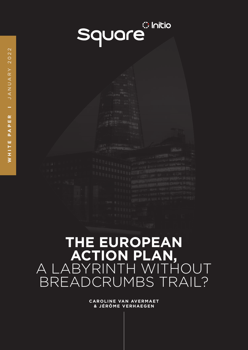

## **THE EUROPEAN<br>ACTION PLAN, ACTION PLAN,** A LABYRINTH WITHOUT BREADCRUMBS TRAIL?

**CAROLINE VAN AVERMAET & JÉRÔME VERHAEGEN**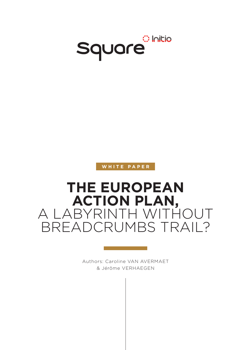

### **WHITE PAPER**

## **THE EUROPEAN<br>ACTION PLAN, ACTION PLAN,** A LABYRINTH WITHOUT BREADCRUMBS TRAIL?

Authors: Caroline VAN AVERMAET & Jérôme VERHAEGEN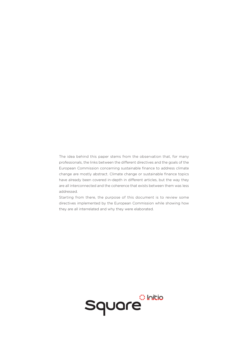The idea behind this paper stems from the observation that, for many professionals, the links between the different directives and the goals of the European Commission concerning sustainable finance to address climate change are mostly abstract. Climate change or sustainable finance topics have already been covered in-depth in different articles, but the way they are all interconnected and the coherence that exists between them was less addressed.

Starting from there, the purpose of this document is to review some directives implemented by the European Commission while showing how they are all interrelated and why they were elaborated.

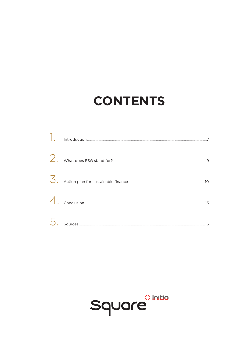### **CONTENTS**

| $\label{th:1} \noindent In to due to an \emph{1} \emph{1} \emph{1} \emph{2} \emph{2} \emph{3} \emph{4} \emph{4} \emph{5} \emph{6} \emph{6} \emph{7} \emph{7} \emph{8} \emph{8} \emph{9} \emph{1} \emph{1} \emph{1} \emph{1} \emph{1} \emph{1} \emph{1} \emph{1} \emph{1} \emph{1} \emph{1} \emph{1} \emph{1} \emph{1} \emph{1} \emph{1} \emph{1} \emph{1} \$ |    |
|--------------------------------------------------------------------------------------------------------------------------------------------------------------------------------------------------------------------------------------------------------------------------------------------------------------------------------------------------------------|----|
| L. What does ESG stand for?                                                                                                                                                                                                                                                                                                                                  | 9  |
| S . Action plan for sustainable finance                                                                                                                                                                                                                                                                                                                      | 10 |
|                                                                                                                                                                                                                                                                                                                                                              | 15 |
|                                                                                                                                                                                                                                                                                                                                                              | 16 |

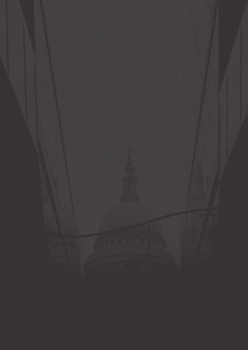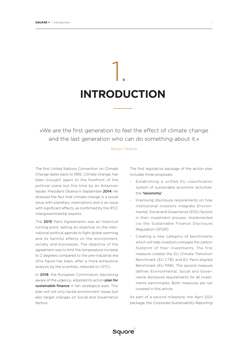# 1. **INTRODUCTION**

«We are the first generation to feel the effect of climate change and the last generation who can do something about it.»

#### Barack Obama

The first United Nations Convention on Climate Change dates back to 1992. Climate change, has been brought again to the forefront of the political scene but this time by an American leader, President Obama in September 2014. He stressed the fact that climate change is a social issue with planetary implications and is an issue with significant effects, as confirmed by the IPCC intergovernmental experts.

The 2015 Paris Agreements was an historical turning point, setting an objective on the international political agenda to fight global warming and its harmful effects on the environment, society and businesses. The objective of the agreement was to limit the temperature increase to 2 degrees compared to the pre-industrial era (this figure has been, after a more exhaustive analysis by the scientists, reduced to 1,5°C).

In 2018, the European Commission, becoming aware of the urgency, adopted its action **plan for** sustainable finance in ten strategical axes. This plan will not only tackle environment issues but also target changes on Social and Governance factors.

The first legislative package of the action plan includes three proposals:

- Establishing a unified EU classification system of sustainable economic activities: the 'taxonomy'.
- Improving disclosure requirements on how institutional investors integrate Environmental, Social and Governance (ESG) factors in their investment process. Implemented via the Sustainable Finance Disclosure Regulation (SFDR)
- Creating a new category of benchmarks which will help investors compare the carbon footprint of their investments. The first measure creates the EU Climate Transition Benchmark (EU CTB) and EU Paris-aligned Benchmark (EU PAB). The second measure defines Environmental, Social and Governance disclosure requirements for all investments benchmarks. Both measures are not covered in this article.

As part of a second milestone, the April 2021 package, the Corporate Sustainability Reporting

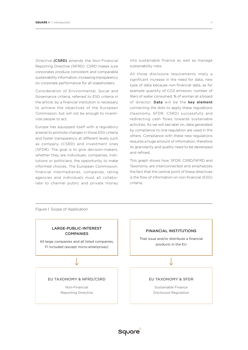Directive (CSRD) amends the Non-Financial Reporting Directive (NFRD). CSRD makes sure corporates produce consistent and comparable sustainability information, increasing transparency on corporate performance for all stakeholders.

Consideration of Environmental, Social and Governance criteria, referred to ESG criteria in the article, by a financial institution is necessary to achieve the objectives of the European Commission, but will not be enough to incentivize people to act.

Europe has equipped itself with a regulatory arsenal to promote changes in those ESG criteria and foster transparency at different levels such as company (CSRD) and investment ones (SFDR). The goal is to give decision-makers, whether they are individuals, companies, institutions or politicians, the opportunity to make informed choices. The European Commission, financial intermediaries, companies, rating agencies and individuals must all collaborate to channel public and private money

into sustainable finance as well as manage sustainability risks.

All those disclosure requirements imply a significant increase in the need for data, new type of data because non-financial data, as for example quantity of CO2 emission, number of liters of water consumed, % of woman at a board of director. Data will be the key element connecting the dots to apply these regulations (taxonomy, SFDR, CSRD) successfully and redirecting cash flows towards sustainable activities. As we will see later on, data generated by compliance to one regulation are used in the others. Compliance with these new regulations requires a huge amount of information, therefore its granularity and quality need to be developed and refined.

This graph shows how, SFDR, CSRD/NFRD and Taxonomy are interconnected and emphasizes the fact that the central point of these directives is the flow of information on non-financial (ESG) criteria.



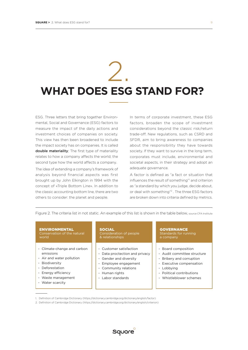## 2. **WHAT DOES ESG STAND FOR?**

ESG. Three letters that bring together Environmental, Social and Governance (ESG) factors to measure the impact of the daily actions and investment choices of companies on society. This view has then been broadened to include the impact society has on companies. It is called double materiality; The first type of materiality relates to how a company affects the world; the second type how the world affects a company.

The idea of extending a company's framework of analysis beyond financial aspects was first brought up by John Elkington in 1994 with the concept of «Triple Bottom Line». In addition to the classic accounting bottom line, there are two others to consider: the planet and people.

In terms of corporate investment, these ESG factors, broaden the scope of investment considerations beyond the classic risk/return trade-off. New regulations, such as CSRD and SFDR, aim to bring awareness to companies about the responsibility they have towards society. If they want to survive in the long term, corporates must include, environmental and societal aspects, in their strategy and adopt an adequate governance.

A factor is defined as "a fact or situation that influences the result of something" and criterion as "a standard by which you judge, decide about, or deal with something"2 . The three ESG factors are broken down into criteria defined by metrics.

Figure 2. The criteria list in not static. An example of this list is shown in the table below, source CFA Institute

#### ENVIRONMENTAL Conservation of the natural

world

- Climate-change and carbon emissions
- Air and water pollution
- Biodiversity
- Deforestation
- Energy efficiency
- Waste management
- Water scarcity

### **SOCIAL**

Consideration of people & relationships

- Customer satisfaction
- Data proctection and privacy
- Gender and diversity
- Employee engagement
- Community relations
- Human rights
- Labor standards

### **GOVERNANCE** a company

- Board composition
- Audit committee structure
- Bribery and corruption
- Executive compensation
- Lobbying
- Political contributions
- Whistleblower schemes

2. Definition of Cambridge Dictionary (https://dictionary.cambridge.org/dictionary/english/criterion)



<sup>1.</sup> Definition of Cambridge Dictionary (https://dictionary.cambridge.org/dictionary/english/factor)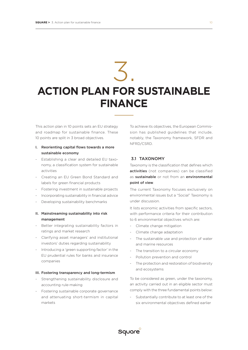### 3. **ACTION PLAN FOR SUSTAINABLE FINANCE**

This action plan in 10 points sets an EU strategy and roadmap for sustainable finance. These 10 points are split in 3 broad objectives.

#### I. Reorienting capital flows towards a more sustainable economy

- Establishing a clear and detailed EU taxonomy, a classification system for sustainable activities
- Creating an EU Green Bond Standard and labels for green financial products
- Fostering investment in sustainable projects
- Incorporating sustainability in financial advice
- Developing sustainability benchmarks

#### II. Mainstreaming sustainability into risk management

- Better integrating sustainability factors in ratings and market research
- Clarifying asset managers' and institutional investors' duties regarding sustainability
- Introducing a 'green supporting factor' in the EU prudential rules for banks and insurance companies

#### III. Fostering transparency and long-termism

- Strengthening sustainability disclosure and accounting rule-making
- Fostering sustainable corporate governance and attenuating short-termism in capital markets

To achieve its objectives, the European Commission has published quidelines that include. notably, the Taxonomy framework, SFDR and NFRD/CSRD.

#### 3.1 TAXONOMY

Taxonomy is the classification that defines which activities (not companies) can be classified as sustainable or not from an environmental point of view.

The current Taxonomy focuses exclusively on environmental issues but a "Social" Taxonomy is under discussion.

It lists economic activities from specific sectors, with performance criteria for their contribution to 6 environmental objectives which are:

- Climate change mitigation
- Climate change adaptation
- The sustainable use and protection of water and marine resources
- The transition to a circular economy
- Pollution prevention and control
- The protection and restoration of biodiversity and ecosystems

To be considered as green, under the taxonomy, an activity carried out in an eligible sector must comply with the three fundamental points below:

- Substantially contribute to at least one of the six environmental objectives defined earlier

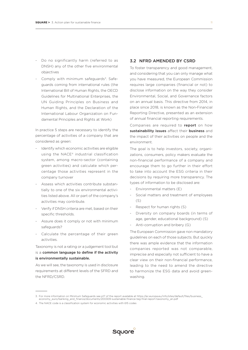- Do no significantly harm (referred to as DNSH) any of the other five environmental objectives
- Comply with minimum safeguards<sup>3</sup>. Safeguards coming from international rules (the International Bill of Human Rights, the OECD Guidelines for Multinational Enterprises, the UN Guiding Principles on Business and Human Rights, and the Declaration of the International Labour Organization on Fundamental Principles and Rights at Work)

In practice 5 steps are necessary to identify the percentage of activities of a company that are considered as green:

- Identify which economic activities are eligible using the NACE4 industrial classification system, among macro-sector (containing green activities) and calculate which percentage those activities represent in the company turnover
- Assess which activities contribute substantially to one of the six environmental activities listed above. All or part of the company's activities may contribute.
- Verify if DNSH criteria are met, based on their specific thresholds.
- Assure does it comply or not with minimum safeguards?
- Calculate the percentage of their green activities.

#### Taxonomy is not a rating or a judgement tool but is a common language to define if the activity is environmentally sustainable.

As we will see, the taxonomy is used in disclosure requirements at different levels of the SFRD and the NFRD/CSRD.

#### 3.2 NFRD AMENDED BY CSRD

To foster transparency and good management, and considering that you can only manage what you have measured, the European Commission requires large companies (financial or not) to disclose information on the way they consider Environmental, Social, and Governance factors on an annual basis. This directive from 2014, in place since 2018, is known as the Non-Financial Reporting Directive, presented as an extension of annual financial reporting requirements.

Companies are required to report on how sustainability issues affect their business and the impact of their activities on people and the environment.

The goal is to help investors, society, organizations, consumers, policy makers evaluate the non-financial performance of a company and encourage them to go further in their effort to take into account the ESG criteria in their decisions by requiring more transparency. The types of information to be disclosed are:

- Environmental matters (E)
- Social matters and treatment of employees  $(S)$
- Respect for human rights (S)
- Diversity on company boards (in terms of age, gender, educational background) (S)
- Anti-corruption and bribery (G)

The European Commission gave non mandatory guidelines on each of those subjects. But quickly there was ample evidence that the information companies reported was not comparable, imprecise and especially not sufficient to have a clear view on their non-financial performance, leading to the need to amend the directive to harmonize the ESG data and avoid greenwashing.

\_3. For more information on Minimum Safeguards see p17 of the report available at https://ec.europa.eu/info/sites/default/files/business<br>economy\_euro/banking\_and\_finance/documents/200309-sustainable-finance-teg-final-repor

<sup>4.</sup> The NACE code is a classification system for economic activities with 615 codes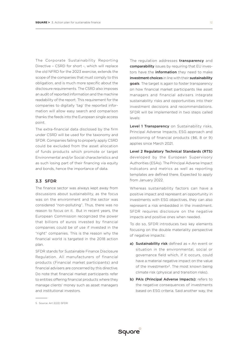The Corporate Sustainability Reporting Directive – CSRD for short -, which will replace the old NFRD for the 2023 exercise, extends the scope of the companies that must comply to this obligation, and is much more specific about the disclosure requirements. The CSRD also imposes an audit of reported information and the machine readability of the report. This requirement for the companies to digitally 'tag' the reported information will allow easy search and comparison thanks the feeds into the European single access point.

The extra-financial data disclosed by the firm under CSRD will be used for the taxonomy and SFDR. Companies failing to properly apply CSRD could be excluded from the asset allocation of funds products which promote or target Environmental and/or Social characteristics and as such losing part of their financing via equity and bonds, hence the importance of data.

#### 3.3 SFDR

The finance sector was always kept away from discussions about sustainability, as the focus was on the environment and the sector was considered "non-polluting". Thus, there was no reason to focus on it. But in recent years, the European Commission recognized the power that billions of euros invested by financial companies could be of use if invested in the "right" companies. This is the reason why the financial world is targeted in the 2018 action plan.

SFDR stands for Sustainable Finance Disclosure Regulation. All manufacturers of financial products (Financial market participants) and financial advisers are concerned by this directive. Do note that financial market participants refer to entities offering financial products where they manage clients' money such as asset managers and institutional investors.

The regulation addresses transparency and comparability issues by requiring that EU investors have the *information* they need to make investment choices in line with their sustainability goals. The target is again to foster transparency on how financial market participants like asset managers and financial advisers integrate sustainability risks and opportunities into their investment decisions and recommendations. SFDR will be implemented in two steps called levels:

Level 1 Transparency on Sustainability risks, Principal Adverse Impacts, ESG approach and positioning of financial products (§6, 8 or 9) applies since March 2021.

Level 2 Regulatory Technical Standards (RTS) developed by the European Supervisory Authorities (ESAs). The Principal Adverse Impact indicators and metrics as well as reporting templates are defined there. Expected to apply from January 2022.

Whereas sustainability factors can have a positive impact and represent an opportunity in investments with ESG objectives, they can also represent a risk embedded in the investment. SFDR requires disclosure on the negative impacts and positive ones when needed.

To do so, SFDR introduces two key elements focusing on the double materiality perspective of negative impacts:

- a) Sustainability risk defined as « An event or situation in the environmental, social or governance field which, if it occurs, could have a material negative impact on the value of the investment»5. The most known being climate risk (physical and transition risks).
- b) PAIs (Principal Adverse Impacts): refers to the negative consequences of investments based on ESG criteria. Said another way, the



<sup>5.</sup> Source: Art 2(22) SFDR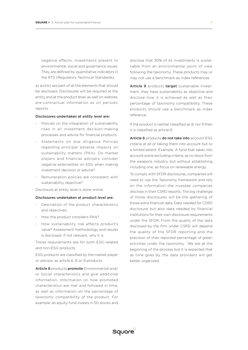negative effects, investments present to environmental, social and governance issues. They are defined by quantitative indicators in the RTS (Regulatory Technical Standards).

a) and b) are part of all the elements that should be disclosed. Disclosures will be required at the entity and at the product level, as well on website, pre-contractual information as on periodic reports.

#### Disclosures undertaken at entity level are:

- Policies on the integration of sustainability risks in all investment decision-making processes and advice for financial products.
- Statements on due diligence Policies regarding principal adverse impacts on sustainability matters (PAIs). Do market players and financial advisers consider negative externalities on ESG when making investment decision or advice?
- Remuneration policies are consistent with sustainability objective?

Disclosure at entity level is done online.

#### Disclosures undertaken at product level are:

- Description of the product characteristics and objectives.
- How the product considers PAIs?
- How sustainability risk affects product's value? Assessment methodology and results is disclosed. If not relevant, why it is.

Those requirements are for both ESG-related and non-ESG products.

ESG products are classified by the market player or advisor, as article 6, 8 or 9 products.

Article 8 products promote Environmental and/ or Social characteristics and give additional information. Information on how promoted characteristics are met and followed in time, as well as information on the percentage of taxonomy compatibility of the product. For example: an equity fund invests in 50 stocks and disclose that 30% of its investments is sustainable from an environmental point of view following the taxonomy. These products may or may not use a benchmark as index references.

Article 9 products target sustainable investment, they have sustainability as objective and disclose how it is achieved as well as their percentage of taxonomy compatibility. These products should use a benchmark as index reference.

If the product is neither classified as 8, nor 9 then it is classified as article 6.

Article 6 products do not take into account ESG criteria at all or taking them into account but to a limited extent. Example: A fund that takes into account some excluding criteria, as no stock from the weapons industry, but without establishing including one, as focus on renewable energy.

To comply with SFDR disclosures, companies will need to use the Taxonomy framework and rely on the information the investee companies disclose in their CSRD reports. The big challenge of those disclosures will be the gathering of those extra financial data. Data needed for CSRD disclosure but also data needed by financial institutions for their own disclosure requirements under the SFDR. From the quality of the data disclosed by the firm under CSRD will depend the quality of the SFDR reporting and the precision of their reported percentage of green activities under the taxonomy. We are at the beginning of the process but it is expected that as time goes by, the data providers will get better organized.

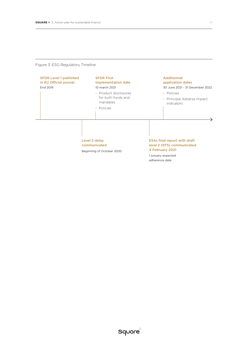#### Figure 3. ESG Regulatory Timeline



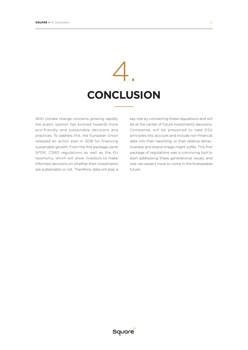# 4. **CONCLUSION**

With climate change concerns growing rapidly, the public opinion has evolved towards more eco-friendly and sustainable decisions and practices. To address this, the European Union released an action plan in 2018 for financing sustainable growth. From the first package came SFDR, CSRD regulations as well as the EU taxonomy, which will allow investors to make informed decisions on whether their investments are sustainable or not. Therefore, data will play a

key role by connecting these regulations and will be at the center of future investments decisions. Companies will be pressured to take ESG principles into account and include non-financial data into their reporting, or their relative attractiveness and brand image might suffer. This first package of regulations was a convincing tool to start addressing these generational issues, and one can expect more to come in the foreseeable future.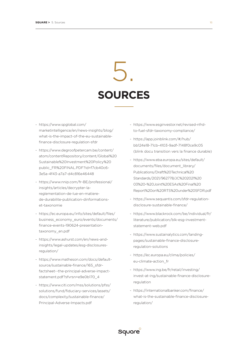# 5. **SOURCES**

- https://www.spglobal.com/ marketintelligence/en/news-insights/blog/ what-is-the-impact-of-the-eu-sustainablefinance-disclosure-regulation-sfdr
- https://www.degroofpetercam.be/content/ atom/contentRepository/content/Global%20 Sustainable%20Investment%20Policy%20 public\_FR%20FINAL.PDF?id=f7cb40c6- 3e5a-4f43-a7a7-d4c816e46448
- https://www.nnip.com/fr-BE/professional/ insights/articles/decrypter-lareglementation-de-lue-en-matierede-durabilite-publication-dinformationset-taxonomie
- https://ec.europa.eu/info/sites/default/files/ business\_economy\_euro/events/documents/ finance-events-190624-presentationtaxonomy\_en.pdf
- https://www.ashurst.com/en/news-andinsights/legal-updates/esg-disclosuresregulation/
- https://www.matheson.com/docs/defaultsource/sustainable-finance/165\_sfdrfactsheet--the-principal-adverse-impactstatement.pdf?sfvrsn=e9e0b170\_4
- https://www.citi.com/mss/solutions/pfss/ solutions/fund/fiduciary-services/assets/ docs/complexity/sustainable-finance/ Principal-Adverse-Impacts.pdf
- https://www.esginvestor.net/revised-nfrdto-fuel-sfdr-taxonomy-compliance/
- https://app.joinblink.com/#/hub/ bb124e18-71cb-4103-9adf-7148f0ce9c05 (blink docu transition vers la finance durable)
- https://www.eba.europa.eu/sites/default/ documents/files/document\_library/ Publications/Draft%20Technical%20 Standards/2021/962778/JC%202021%20 03%20-%20Joint%20ESAs%20Final%20 Report%20on%20RTS%20under%20SFDR.pdf
- https://www.sequantis.com/sfdr-regulationdisclosure-sustainable-finance/
- https://www.blackrock.com/be/individual/fr/ literature/publication/blk-esg-investmentstatement-web.pdf
- https://www.sustainalytics.com/landingpages/sustainable-finance-disclosureregulation-solutions
- https://ec.europa.eu/clima/policies/ eu-climate-action\_fr
- https://www.ing.be/fr/retail/investing/ invest-at-ing/sustainable-finance-disclosureregulation
- https://internationalbanker.com/finance/ what-is-the-sustainable-finance-disclosureregulation/

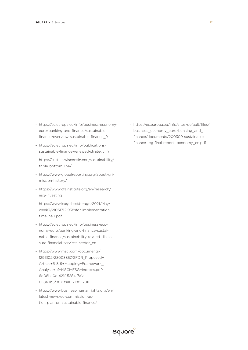- https://ec.europa.eu/info/business-economyeuro/banking-and-finance/sustainablefinance/overview-sustainable-finance\_fr
- https://ec.europa.eu/info/publications/ sustainable-finance-renewed-strategy\_fr
- https://sustain.wisconsin.edu/sustainability/ triple-bottom-line/
- https://www.globalreporting.org/about-gri/ mission-history/
- https://www.cfainstitute.org/en/research/ esg-investing
- https://www.lexgo.be/storage/2021/May/ week3/210517121938sfdr-implementationtimeline-1.pdf
- https://ec.europa.eu/info/business-economy-euro/banking-and-finance/sustainable-finance/sustainability-related-disclosure-financial-services-sector\_en
- https://www.msci.com/documents/ 1296102/23003857/SFDR\_Proposed+ Article+6-8-9+Mapping+Framework\_ Analysis+of+MSCI+ESG+Indexes.pdf/ 6d08ba0c-421f-5284-7a1a-6118e9b5f887?t=1617188112811
- https://www.business-humanrights.org/en/ latest-news/eu-commission-action-plan-on-sustainable-finance/

- https://ec.europa.eu/info/sites/default/files/ business\_economy\_euro/banking\_and finance/documents/200309-sustainablefinance-teg-final-report-taxonomy\_en.pdf

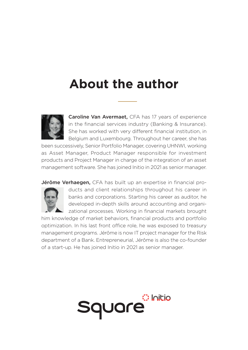### **About the author**



Caroline Van Avermaet, CFA has 17 years of experience in the financial services industry (Banking & Insurance). She has worked with very different financial institution, in Belgium and Luxembourg. Throughout her career, she has

been successively, Senior Portfolio Manager, covering UHNWI, working as Asset Manager, Product Manager responsible for investment products and Project Manager in charge of the integration of an asset management software. She has joined Initio in 2021 as senior manager.

Jérôme Verhaegen, CFA has built up an expertise in financial pro-



ducts and client relationships throughout his career in banks and corporations. Starting his career as auditor, he developed in-depth skills around accounting and organizational processes. Working in financial markets brought

him knowledge of market behaviors, financial products and portfolio optimization. In his last front office role, he was exposed to treasury management programs. Jérôme is now IT project manager for the Risk department of a Bank. Entrepreneurial, Jérôme is also the co-founder of a start-up. He has joined Initio in 2021 as senior manager.

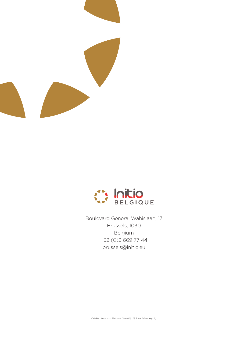



Boulevard General Wahislaan, 17 Brussels, 1030 Belgium +32 (0)2 669 77 44 brussels@initio.eu

*Crédits Unsplash : Pietro de Grandi (p. 1), Jake Johnson (p.6).*